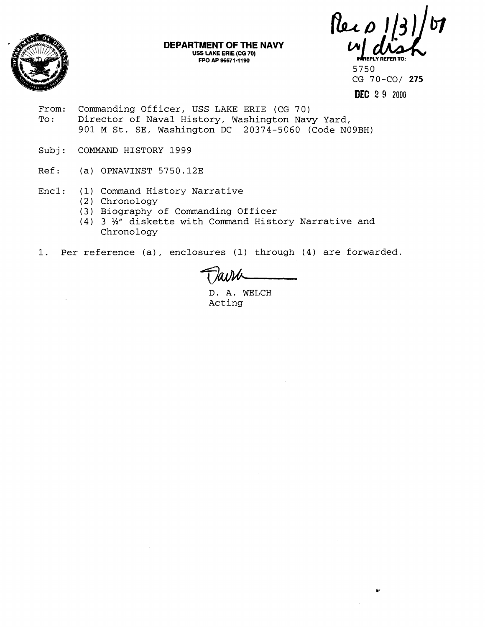

**DEPARTMENT OF THE NAVY USS LAKE ERIE (CG 70)** 

 $\mu$ **FROM AP 96671-1190**<br>
FPO AP 96671-1190<br>
FPO AP 96671-1190<br>
<u>5750</u>

5750 CG 70-CO/ 275

**DEC 2 9 2000** 

ŧ.

- From: Commanding Officer, USS LAKE ERIE (CG 70) To: Director of Naval History, Washington Navy Yard, 901 M St. SE, Washington DC 20374-5060 (Code N09BH)
- Subj: COMMAND HISTORY 1999
- Ref: (a) OPNAVINST 5750.12E
- Encl: (1) Command History Narrative
	- (2) Chronology
	- (3) Biography of Commanding Officer
	- (4) 3 %" diskette with Command History Narrative and Chronology
- 1. Per reference (a), enclosures (1) through (4) are forwarded.

D. A. WELCH Acting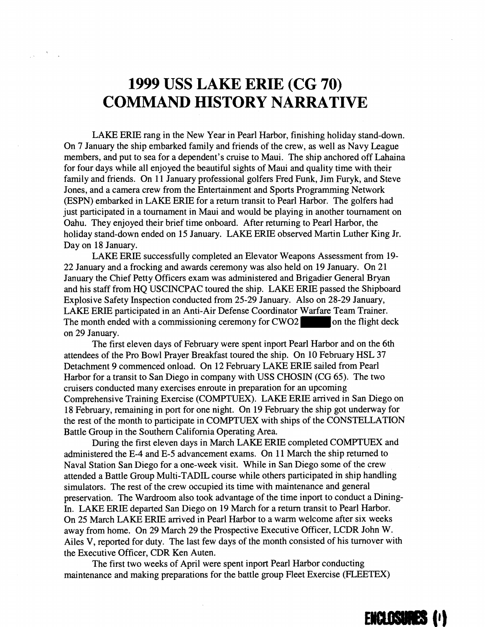## **1999 USS LAKE ERIE (CG 70) COMMAND HISTORY NARRATIVE**

LAKE ERIE rang in the New Year in Pearl Harbor, finishing holiday stand-down. On 7 January the ship embarked family and friends of the crew, as well as Navy League members, and put to sea for a dependent's cruise to Maui. The ship anchored off Lahaina for four days while all enjoyed the beautiful sights of Maui and quality time with their family and friends. On 11 January professional golfers Fred Funk, Jim Furyk, and Steve Jones, and a camera crew from the Entertainment and Sports Programming Network (ESPN) embarked in LAKE ERIE for a return transit to Pearl Harbor. The golfers had just participated in a tournament in Maui and would be playing in another tournament on Oahu. They enjoyed their brief time onboard. After returning to Pearl Harbor, the holiday stand-down ended on 15 January. LAKE ERIE observed Martin Luther King Jr. Day on 18 January.

LAKE ERIE successfully completed an Elevator Weapons Assessment from 19- 22 January and a frocking and awards ceremony was also held on 19 January. On 21 January the Chief Petty Officers exam was administered and Brigadier General Bryan and his staff from HQ USCINCPAC toured the ship. LAKE ERIE passed the Shipboard Explosive Safety Inspection conducted from 25-29 January. Also on 28-29 January, LAKE ERIE participated in an Anti-Air Defense Coordinator Warfare Team Trainer. The month ended with a commissioning ceremony for CWO2 on the flight deck on 29 January.

The first eleven days of February were spent inport Pearl Harbor and on the 6th attendees of the Pro Bowl Prayer Breakfast toured the ship. On 10 February HSL 37 Detachment 9 commenced onload. On 12 February LAKE ERIE sailed from Pearl Harbor for a transit to San Diego in company with USS CHOSIN (CG 65). The two cruisers conducted many exercises enroute in preparation for an upcoming Comprehensive Training Exercise (COMPTUEX). LAKE ERIE arrived in San Diego on 18 February, remaining in port for one night. On 19 February the ship got underway for the rest of the month to participate in COMPTUEX with ships of the CONSTELLATION Battle Group in the Southern California Operating Area.

During the first eleven days in March LAKE ERIE completed COMPTUEX and administered the E-4 and E-5 advancement exams. On 11 March the ship returned to Naval Station San Diego for a one-week visit. While in San Diego some of the crew attended a Battle Group Multi-TADIL course while others participated in ship handling simulators. The rest of the crew occupied its time with maintenance and general preservation. The Wardroom also took advantage of the time inport to conduct a Dining-In. LAKE ERIE departed San Diego on 19 March for a return transit to Pearl Harbor. On 25 March LAKE ERIE arrived in Pearl Harbor to a warm welcome after six weeks away from home. On 29 March 29 the Prospective Executive Officer, LCDR John W. Ailes V, reported for duty. The last few days of the month consisted of his turnover with the Executive Officer, CDR Ken Auten.

The first two weeks of April were spent inport Pearl Harbor conducting maintenance and making preparations for the battle group Fleet Exercise (FLEETEX)

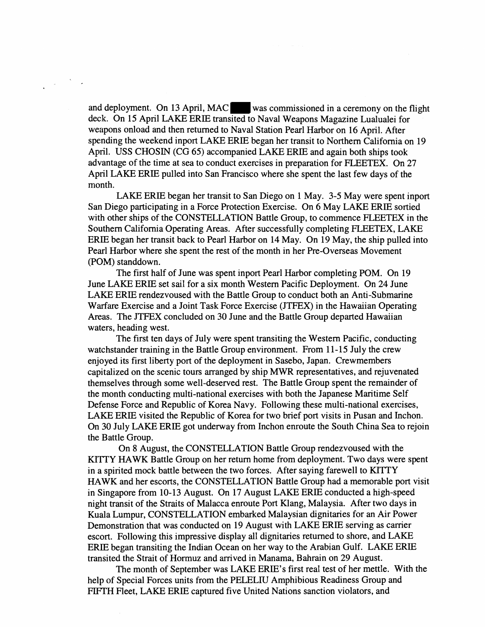and deployment. On 13 April, MAC was commissioned in a ceremony on the flight deck. On 15 April LAKE ERIE transited to Naval Weapons Magazine Lualualei for weapons onload and then returned to Naval Station Pearl Harbor on 16 April. After spending the weekend inport LAKE ERIE began her transit to Northern California on 19 April. USS CHOSIN (CG *65)* accompanied LAKE ERIE and again both ships took advantage of the time at sea to conduct exercises in preparation for FLEETEX. On 27 April LAKE ERIE pulled into San Francisco where she spent the last few days of the month.

LAKE ERIE began her transit to San Diego on 1 May. 3-5 May were spent inport San Diego participating in a Force Protection Exercise. On 6 May LAKE ERIE sortied with other ships of the CONSTELLATION Battle Group, to commence FLEETEX in the Southern California Operating Areas. After successfully completing FLEETEX, LAKE ERIE began her transit back to Pearl Harbor on 14 May. On 19 May, the ship pulled into Pearl Harbor where she spent the rest of the month in her Pre-Overseas Movement (POM) standdown.

The first half of June was spent inport Pearl Harbor completing POM. On 19 June LAKE ERIE set sail for a six month Western Pacific Deployment. On 24 June LAKE ERIE rendezvoused with the Battle Group to conduct both an Anti-Submarine Warfare Exercise and a Joint Task Force Exercise (JTFEX) in the Hawaiian Operating Areas. The JTFEX concluded on 30 June and the Battle Group departed Hawaiian waters, heading west.

The first ten days of July were spent transiting the Western Pacific, conducting watchstander training in the Battle Group environment. From 11-15 July the crew enjoyed its first liberty port of the deployment in Sasebo, Japan. Crewmembers capitalized on the scenic tours arranged by ship MWR representatives, and rejuvenated themselves through some well-deserved rest. The Battle Group spent the remainder of the month conducting multi-national exercises with both the Japanese Maritime Self Defense Force and Republic of Korea Navy. Following these multi-national exercises, LAKE ERIE visited the Republic of Korea for two brief port visits in Pusan and Inchon. On 30 July LAKE ERIE got underway from Inchon enroute the South China Sea to rejoin the Battle Group.

On 8 August, the CONSTELLATION Battle Group rendezvoused with the **KTTTY** HAWK Battle Group on her return home from deployment. Two days were spent in a spirited mock battle between the two forces. After saying farewell to KITTY HAWK and her escorts, the CONSTELLATION Battle Group had a memorable port visit in Singapore from 10-13 August. On 17 August LAKE ERIE conducted a high-speed night transit of the Straits of Malacca enroute Port Klang, Malaysia. After two days in Kuala Lumpur, CONSTELLATION embarked Malaysian dignitaries for an Air Power Demonstration that was conducted on 19 August with LAKE ERIE serving as carrier escort. Following this impressive display all dignitaries returned to shore, and LAKE ERIE began transiting the Indian Ocean on her way to the Arabian Gulf. LAKE ERIE transited the Strait of Hormuz and arrived in Manama, Bahrain on 29 August.

The month of September was LAKE ERIE'S first real test of her mettle. With the help of Special Forces units from the PELELIU Amphibious Readiness Group and FIFTH Fleet, LAKE ERIE captured five United Nations sanction violators, and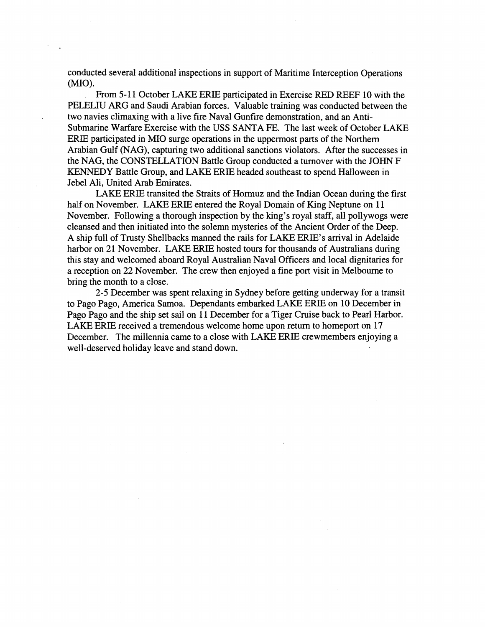conducted several additional inspections in support of Maritime Interception Operations  $(MIO)$ .

From 5-1 1 October LAKE ERIE participated in Exercise RED REEF 10 with the PEIELIU ARG and Saudi Arabian forces. Valuable training was conducted between the two navies climaxing with a live fire Naval Gunfire demonstration, and an Anti-Submarine Warfare Exercise with the USS SANTA **FE.** The last week of October LAKE ERIE participated in MI0 surge operations in the uppermost parts of the Northern Arabian Gulf (NAG), capturing two additional sanctions violators. After the successes in the NAG, the CONSTELLATION Battle Group conducted a turnover with the JOHN **F**  KENNEDY Battle Group, and LAKE ERIE headed southeast to spend Halloween in Jebel Ali, United Arab Emirates.

LAKE ERIE transited the Straits of Hormuz and the Indian Ocean during the first half on November. LAKE ERIE entered the Royal Domain of King Neptune on 11 November. Following a thorough inspection by the king's royal staff, all pollywogs were cleansed and then initiated into the solemn mysteries of the Ancient Order of the Deep. A ship full of Trusty Shellbacks manned the rails for LAKE ERIE'S arrival in Adelaide harbor on 21 November. LAKE ERIE hosted tours for thousands of Australians during this stay and welcomed aboard Royal Australian Naval Officers and local dignitaries for a reception on 22 November. The crew then enjoyed a fine port visit in Melbourne to bring the month to a close.

2-5 December was spent relaxing in Sydney before getting underway for a transit to Pago Pago, America Samoa. Dependants embarked LAKE ERIE on 10 December in Pago Pago and the ship set sail on 11 December for a Tiger Cruise back to Pearl Harbor. LAKE ERIE received a tremendous welcome home upon return to homeport on 17 December. The millennia came to a close with LAKE ERIE crewmembers enjoying a well-deserved holiday leave and stand down.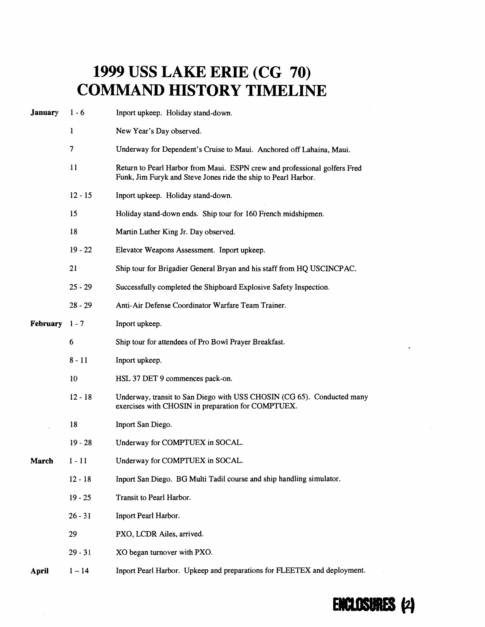## **1999 USS LAKE ERIE (CG 70) COMMAND HISTORY TIMELINE**

| <b>January</b> | $1 - 6$      | Inport upkeep. Holiday stand-down.                                                                                                          |
|----------------|--------------|---------------------------------------------------------------------------------------------------------------------------------------------|
|                | $\mathbf{1}$ | New Year's Day observed.                                                                                                                    |
|                | 7            | Underway for Dependent's Cruise to Maui. Anchored off Lahaina, Maui.                                                                        |
|                | 11           | Return to Pearl Harbor from Maui. ESPN crew and professional golfers Fred<br>Funk, Jim Furyk and Steve Jones ride the ship to Pearl Harbor. |
|                | $12 - 15$    | Inport upkeep. Holiday stand-down.                                                                                                          |
|                | 15           | Holiday stand-down ends. Ship tour for 160 French midshipmen.                                                                               |
|                | 18           | Martin Luther King Jr. Day observed.                                                                                                        |
|                | $19 - 22$    | Elevator Weapons Assessment. Inport upkeep.                                                                                                 |
|                | 21           | Ship tour for Brigadier General Bryan and his staff from HQ USCINCPAC.                                                                      |
|                | $25 - 29$    | Successfully completed the Shipboard Explosive Safety Inspection.                                                                           |
|                | $28 - 29$    | Anti-Air Defense Coordinator Warfare Team Trainer.                                                                                          |
| February 1-7   |              | Inport upkeep.                                                                                                                              |
|                | 6            | Ship tour for attendees of Pro Bowl Prayer Breakfast.                                                                                       |
|                | $8 - 11$     | Inport upkeep.                                                                                                                              |
|                | 10           | HSL 37 DET 9 commences pack-on.                                                                                                             |
|                | $12 - 18$    | Underway, transit to San Diego with USS CHOSIN (CG 65). Conducted many<br>exercises with CHOSIN in preparation for COMPTUEX.                |
|                | 18           | Inport San Diego.                                                                                                                           |
|                | $19 - 28$    | Underway for COMPTUEX in SOCAL.                                                                                                             |
| March          | $1 - 11$     | Underway for COMPTUEX in SOCAL.                                                                                                             |
|                | $12 - 18$    | Inport San Diego. BG Multi Tadil course and ship handling simulator.                                                                        |
|                | $19 - 25$    | Transit to Pearl Harbor.                                                                                                                    |
|                | $26 - 31$    | Inport Pearl Harbor.                                                                                                                        |
|                | 29           | PXO, LCDR Ailes, arrived.                                                                                                                   |
|                | $29 - 31$    | XO began turnover with PXO.                                                                                                                 |
| April          | $1 - 14$     | Inport Pearl Harbor. Upkeep and preparations for FLEETEX and deployment.                                                                    |

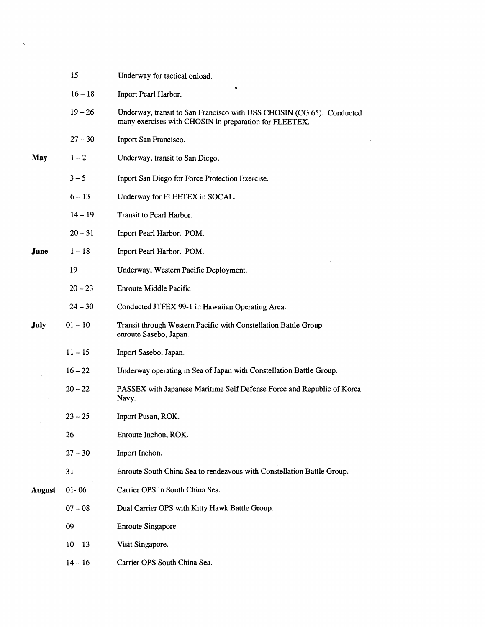|               | 15        | Underway for tactical onload.                                                                                                   |
|---------------|-----------|---------------------------------------------------------------------------------------------------------------------------------|
|               | $16 - 18$ | Inport Pearl Harbor.                                                                                                            |
|               | $19 - 26$ | Underway, transit to San Francisco with USS CHOSIN (CG 65). Conducted<br>many exercises with CHOSIN in preparation for FLEETEX. |
|               | $27 - 30$ | Inport San Francisco.                                                                                                           |
| May           | $1 - 2$   | Underway, transit to San Diego.                                                                                                 |
|               | $3 - 5$   | Inport San Diego for Force Protection Exercise.                                                                                 |
|               | $6 - 13$  | Underway for FLEETEX in SOCAL.                                                                                                  |
|               | $14 - 19$ | Transit to Pearl Harbor.                                                                                                        |
|               | $20 - 31$ | Inport Pearl Harbor. POM.                                                                                                       |
| June          | $1 - 18$  | Inport Pearl Harbor. POM.                                                                                                       |
|               | 19        | Underway, Western Pacific Deployment.                                                                                           |
|               | $20 - 23$ | <b>Enroute Middle Pacific</b>                                                                                                   |
|               | $24 - 30$ | Conducted JTFEX 99-1 in Hawaiian Operating Area.                                                                                |
| July          | $01 - 10$ | Transit through Western Pacific with Constellation Battle Group<br>enroute Sasebo, Japan.                                       |
|               | $11 - 15$ | Inport Sasebo, Japan.                                                                                                           |
|               | $16 - 22$ | Underway operating in Sea of Japan with Constellation Battle Group.                                                             |
|               | $20 - 22$ | PASSEX with Japanese Maritime Self Defense Force and Republic of Korea<br>Navy.                                                 |
|               | $23 - 25$ | Inport Pusan, ROK.                                                                                                              |
|               | 26        | Enroute Inchon, ROK.                                                                                                            |
|               | $27 - 30$ | Inport Inchon.                                                                                                                  |
|               | 31        | Enroute South China Sea to rendezvous with Constellation Battle Group.                                                          |
| <b>August</b> | $01 - 06$ | Carrier OPS in South China Sea.                                                                                                 |
|               | $07 - 08$ | Dual Carrier OPS with Kitty Hawk Battle Group.                                                                                  |
|               | 09        | Enroute Singapore.                                                                                                              |
|               | $10 - 13$ | Visit Singapore.                                                                                                                |
|               | $14 - 16$ | Carrier OPS South China Sea.                                                                                                    |

 $\label{eq:2.1} \frac{1}{\sqrt{2}}\int_{\mathbb{R}^3}\frac{1}{\sqrt{2}}\left(\frac{1}{\sqrt{2}}\right)^2\frac{1}{\sqrt{2}}\left(\frac{1}{\sqrt{2}}\right)^2\frac{1}{\sqrt{2}}\left(\frac{1}{\sqrt{2}}\right)^2\frac{1}{\sqrt{2}}\left(\frac{1}{\sqrt{2}}\right)^2.$ 

 $\frac{1}{\sqrt{2}}\int_{\mathbb{R}^3}\frac{d\mu}{\mu}d\mu$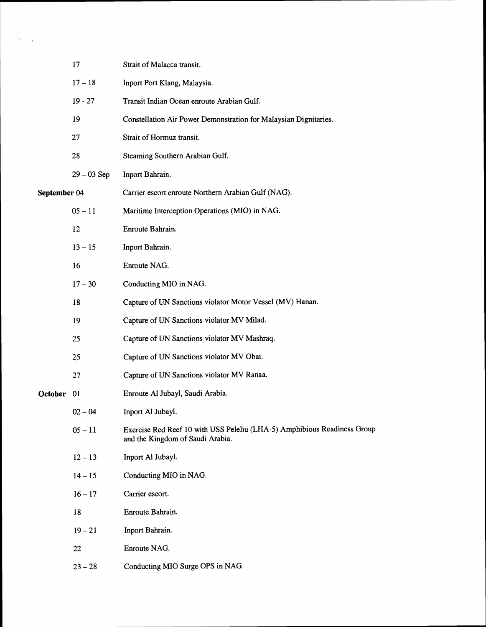|              | 17            | Strait of Malacca transit.                                                                                   |
|--------------|---------------|--------------------------------------------------------------------------------------------------------------|
|              | $17 - 18$     | Inport Port Klang, Malaysia.                                                                                 |
|              | $19 - 27$     | Transit Indian Ocean enroute Arabian Gulf.                                                                   |
|              | 19            | Constellation Air Power Demonstration for Malaysian Dignitaries.                                             |
|              | 27            | Strait of Hormuz transit.                                                                                    |
|              | 28            | Steaming Southern Arabian Gulf.                                                                              |
|              | $29 - 03$ Sep | Inport Bahrain.                                                                                              |
| September 04 |               | Carrier escort enroute Northern Arabian Gulf (NAG).                                                          |
|              | $05 - 11$     | Maritime Interception Operations (MIO) in NAG.                                                               |
|              | 12            | Enroute Bahrain.                                                                                             |
|              | $13 - 15$     | Inport Bahrain.                                                                                              |
|              | 16            | Enroute NAG.                                                                                                 |
|              | $17 - 30$     | Conducting MIO in NAG.                                                                                       |
|              | 18            | Capture of UN Sanctions violator Motor Vessel (MV) Hanan.                                                    |
|              | 19            | Capture of UN Sanctions violator MV Milad.                                                                   |
|              | 25            | Capture of UN Sanctions violator MV Mashraq.                                                                 |
|              | 25            | Capture of UN Sanctions violator MV Obai.                                                                    |
|              | 27            | Capture of UN Sanctions violator MV Ranaa.                                                                   |
| October      | 01            | Enroute Al Jubayl, Saudi Arabia.                                                                             |
|              | $02 - 04$     | Inport Al Jubayl.                                                                                            |
|              | $05 - 11$     | Exercise Red Reef 10 with USS Peleliu (LHA-5) Amphibious Readiness Group<br>and the Kingdom of Saudi Arabia. |
|              | $12 - 13$     | Inport Al Jubayl.                                                                                            |
|              | $14 - 15$     | Conducting MIO in NAG.                                                                                       |
|              | $16 - 17$     | Carrier escort.                                                                                              |
|              | 18            | Enroute Bahrain.                                                                                             |
|              | $19 - 21$     | Inport Bahrain.                                                                                              |
|              | 22            | Enroute NAG.                                                                                                 |
|              | $23 - 28$     | Conducting MIO Surge OPS in NAG.                                                                             |

 $\frac{\partial \mathbf{z}}{\partial \mathbf{z}} = \mathbf{e}^{-\frac{1}{2} \left( \mathbf{z} - \mathbf{z} \right) \mathbf{z}}$